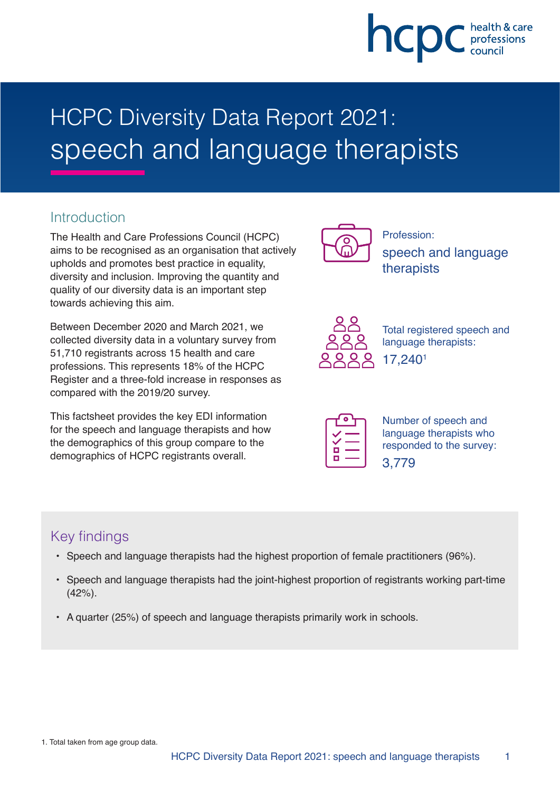

# HCPC Diversity Data Report 2021: speech and language therapists

## **Introduction**

The Health and Care Professions Council (HCPC) aims to be recognised as an organisation that actively upholds and promotes best practice in equality, diversity and inclusion. Improving the quantity and quality of our diversity data is an important step towards achieving this aim.

Between December 2020 and March 2021, we collected diversity data in a voluntary survey from 51,710 registrants across 15 health and care professions. This represents 18% of the HCPC Register and a three-fold increase in responses as compared with the 2019/20 survey.

This factsheet provides the key EDI information for the speech and language therapists and how the demographics of this group compare to the demographics of HCPC registrants overall.



Profession: speech and language therapists



Total registered speech and language therapists: 17,2401

| ٦  |  |
|----|--|
|    |  |
| п  |  |
| f. |  |

Number of speech and language therapists who responded to the survey: 3,779

# Key findings

- Speech and language therapists had the highest proportion of female practitioners (96%).
- Speech and language therapists had the joint-highest proportion of registrants working part-time (42%).
- A quarter (25%) of speech and language therapists primarily work in schools.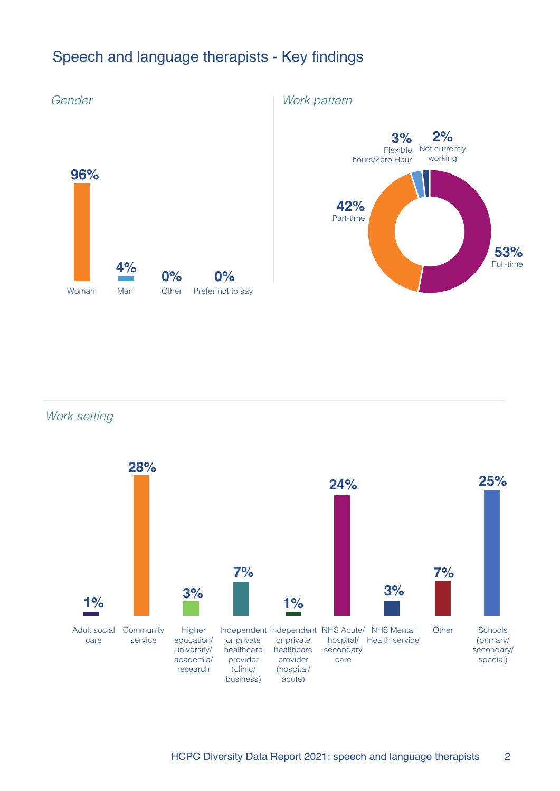# Speech and language therapists - Key findings



Work setting

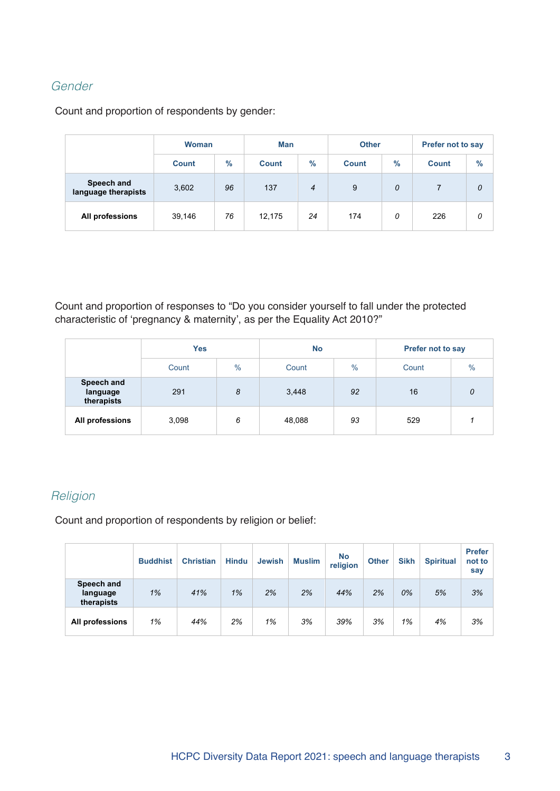#### Gender

Count and proportion of respondents by gender:

|                                   | <b>Woman</b> |               | <b>Man</b>   |                |              | <b>Other</b>  | <b>Prefer not to say</b> |      |
|-----------------------------------|--------------|---------------|--------------|----------------|--------------|---------------|--------------------------|------|
|                                   | <b>Count</b> | $\frac{9}{6}$ | <b>Count</b> | $\%$           | <b>Count</b> | $\frac{9}{6}$ | <b>Count</b>             | $\%$ |
| Speech and<br>language therapists | 3,602        | 96            | 137          | $\overline{4}$ | 9            | 0             |                          | 0    |
| All professions                   | 39,146       | 76            | 12,175       | 24             | 174          | 0             | 226                      | 0    |

Count and proportion of responses to "Do you consider yourself to fall under the protected characteristic of 'pregnancy & maternity', as per the Equality Act 2010?"

|                                      | <b>Yes</b> |      | <b>No</b> |      | <b>Prefer not to say</b> |      |  |
|--------------------------------------|------------|------|-----------|------|--------------------------|------|--|
|                                      | Count      | $\%$ | Count     | $\%$ | Count                    | $\%$ |  |
| Speech and<br>language<br>therapists | 291        | 8    | 3,448     | 92   | 16                       | 0    |  |
| All professions                      | 3,098      | 6    | 48,088    | 93   | 529                      |      |  |

#### **Religion**

Count and proportion of respondents by religion or belief:

|                                      | <b>Buddhist</b> | <b>Christian</b> | <b>Hindu</b> | <b>Jewish</b> | <b>Muslim</b> | <b>No</b><br>religion | <b>Other</b> | <b>Sikh</b> | <b>Spiritual</b> | <b>Prefer</b><br>not to<br>say |
|--------------------------------------|-----------------|------------------|--------------|---------------|---------------|-----------------------|--------------|-------------|------------------|--------------------------------|
| Speech and<br>language<br>therapists | 1%              | 41%              | 1%           | 2%            | 2%            | 44%                   | 2%           | 0%          | 5%               | 3%                             |
| All professions                      | 1%              | 44%              | 2%           | 1%            | 3%            | 39%                   | 3%           | 1%          | 4%               | 3%                             |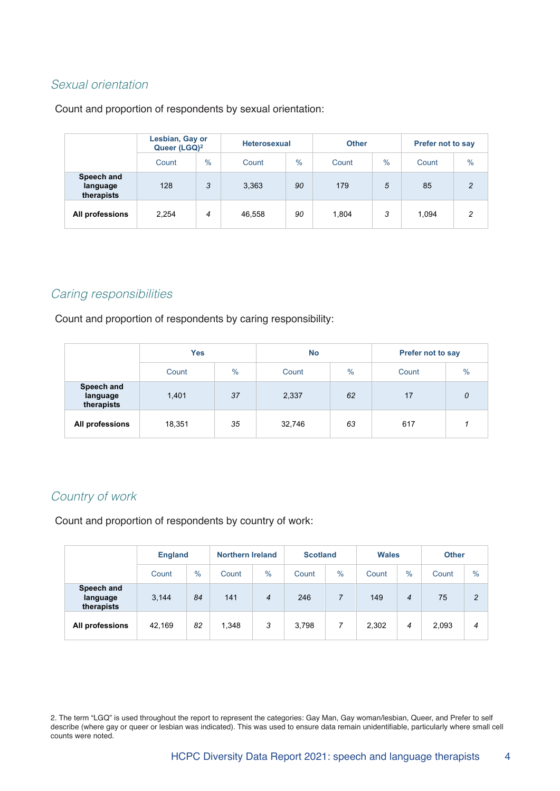#### Sexual orientation

Count and proportion of respondents by sexual orientation:

|                                      | Lesbian, Gay or<br>Queer (LGQ) <sup>2</sup> |               |        | <b>Heterosexual</b> |       |               | <b>Prefer not to say</b> |      |  |
|--------------------------------------|---------------------------------------------|---------------|--------|---------------------|-------|---------------|--------------------------|------|--|
|                                      | Count                                       | $\frac{0}{0}$ | Count  | $\frac{0}{0}$       | Count | $\frac{0}{0}$ | Count                    | $\%$ |  |
| Speech and<br>language<br>therapists | 128                                         | 3             | 3,363  | 90                  | 179   | 5             | 85                       | 2    |  |
| All professions                      | 2,254                                       | 4             | 46,558 | 90                  | 1,804 | 3             | 1.094                    | 2    |  |

#### Caring responsibilities

Count and proportion of respondents by caring responsibility:

|                                      | <b>Yes</b> |               | <b>No</b> |               | <b>Prefer not to say</b> |      |  |
|--------------------------------------|------------|---------------|-----------|---------------|--------------------------|------|--|
|                                      | Count      | $\frac{0}{0}$ | Count     | $\frac{0}{0}$ | Count                    | $\%$ |  |
| Speech and<br>language<br>therapists | 1,401      | 37            | 2,337     | 62            | 17                       | 0    |  |
| All professions                      | 18,351     | 35            | 32,746    | 63            | 617                      |      |  |

#### Country of work

Count and proportion of respondents by country of work:

|                                      | <b>England</b> |               |       | <b>Northern Ireland</b> |       | <b>Scotland</b> |       | <b>Wales</b>   |       | <b>Other</b>   |  |
|--------------------------------------|----------------|---------------|-------|-------------------------|-------|-----------------|-------|----------------|-------|----------------|--|
|                                      | Count          | $\frac{0}{0}$ | Count | $\%$                    | Count | $\%$            | Count | $\%$           | Count | $\frac{0}{0}$  |  |
| Speech and<br>language<br>therapists | 3,144          | 84            | 141   | $\overline{4}$          | 246   | 7               | 149   | $\overline{4}$ | 75    | $\overline{c}$ |  |
| All professions                      | 42.169         | 82            | 1,348 | 3                       | 3,798 | 7               | 2,302 | 4              | 2,093 | 4              |  |

2. The term "LGQ" is used throughout the report to represent the categories: Gay Man, Gay woman/lesbian, Queer, and Prefer to self describe (where gay or queer or lesbian was indicated). This was used to ensure data remain unidentifiable, particularly where small cell counts were noted.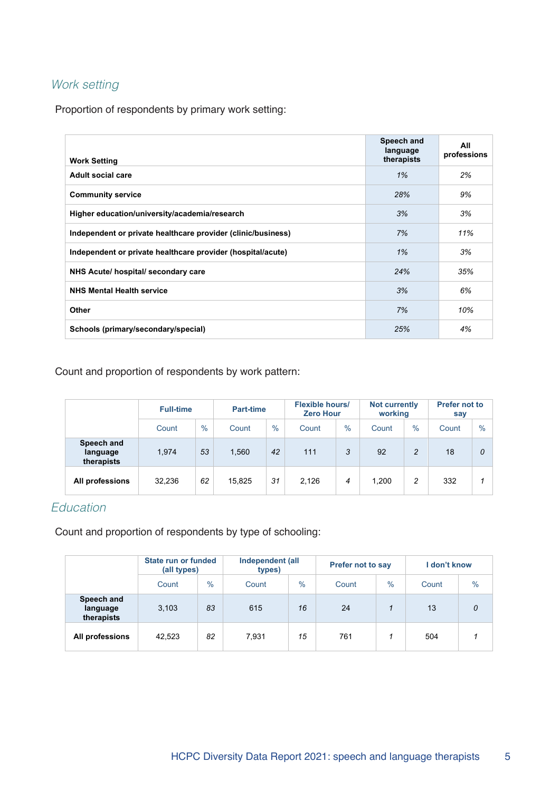## Work setting

Proportion of respondents by primary work setting:

| <b>Work Setting</b>                                          | Speech and<br>language<br>therapists | All<br>professions |
|--------------------------------------------------------------|--------------------------------------|--------------------|
| <b>Adult social care</b>                                     | 1%                                   | 2%                 |
| <b>Community service</b>                                     | 28%                                  | 9%                 |
| Higher education/university/academia/research                | 3%                                   | 3%                 |
| Independent or private healthcare provider (clinic/business) | 7%                                   | 11%                |
| Independent or private healthcare provider (hospital/acute)  | 1%                                   | 3%                 |
| NHS Acute/ hospital/ secondary care                          | 24%                                  | 35%                |
| <b>NHS Mental Health service</b>                             | 3%                                   | 6%                 |
| Other                                                        | 7%                                   | 10%                |
| Schools (primary/secondary/special)                          | 25%                                  | 4%                 |

#### Count and proportion of respondents by work pattern:

|                                      | <b>Full-time</b> |               | <b>Part-time</b>       |    | <b>Flexible hours/</b><br><b>Zero Hour</b> |               | <b>Not currently</b><br>working |                | <b>Prefer not to</b><br>say |               |
|--------------------------------------|------------------|---------------|------------------------|----|--------------------------------------------|---------------|---------------------------------|----------------|-----------------------------|---------------|
|                                      | Count            | $\frac{0}{0}$ | $\frac{0}{0}$<br>Count |    | Count                                      | $\frac{0}{0}$ | Count                           | $\%$           | Count                       | $\frac{0}{0}$ |
| Speech and<br>language<br>therapists | 1.974            | 53            | 1,560                  | 42 | 111                                        | 3             | 92                              | $\overline{c}$ | 18                          | 0             |
| All professions                      | 32,236           | 62            | 15.825                 | 31 | 2.126                                      | 4             | 1.200                           | 2              | 332                         |               |

## Education

Count and proportion of respondents by type of schooling:

|                                      | State run or funded<br>(all types) |               | types) | Independent (all |       | <b>Prefer not to say</b> | I don't know |               |
|--------------------------------------|------------------------------------|---------------|--------|------------------|-------|--------------------------|--------------|---------------|
|                                      | Count                              | $\frac{0}{0}$ | Count  | $\frac{0}{0}$    | Count | $\frac{0}{0}$            | Count        | $\frac{0}{0}$ |
| Speech and<br>language<br>therapists | 3,103                              | 83            | 615    | 16               | 24    |                          | 13           | 0             |
| All professions                      | 42.523                             | 82            | 7.931  | 15               | 761   |                          | 504          |               |